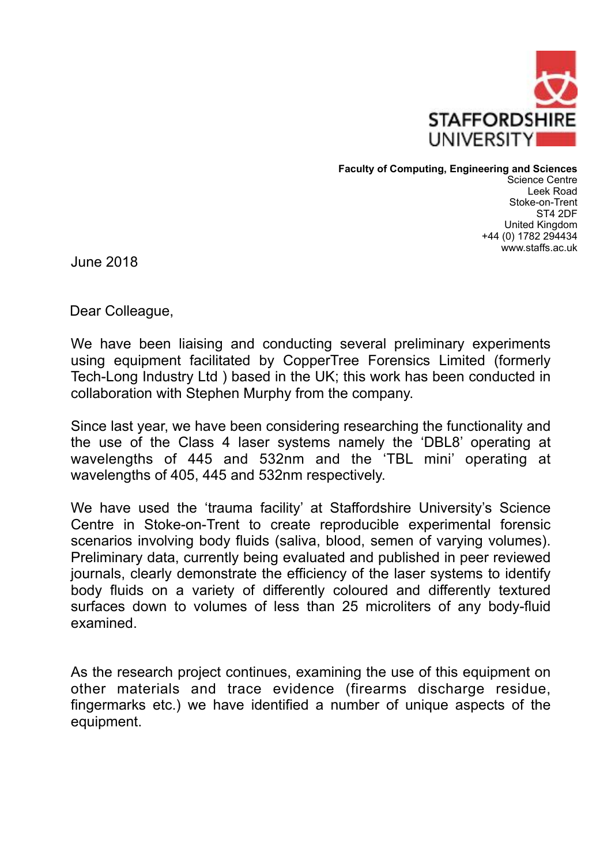

**Faculty of Computing, Engineering and Sciences** 

Science Centre Leek Road Stoke-on-Trent ST4 2DF United Kingdom +44 (0) 1782 294434 www.staffs.ac.uk

June 2018

Dear Colleague,

We have been liaising and conducting several preliminary experiments using equipment facilitated by CopperTree Forensics Limited (formerly Tech-Long Industry Ltd ) based in the UK; this work has been conducted in collaboration with Stephen Murphy from the company.

Since last year, we have been considering researching the functionality and the use of the Class 4 laser systems namely the 'DBL8' operating at wavelengths of 445 and 532nm and the 'TBL mini' operating at wavelengths of 405, 445 and 532nm respectively.

We have used the 'trauma facility' at Staffordshire University's Science Centre in Stoke-on-Trent to create reproducible experimental forensic scenarios involving body fluids (saliva, blood, semen of varying volumes). Preliminary data, currently being evaluated and published in peer reviewed journals, clearly demonstrate the efficiency of the laser systems to identify body fluids on a variety of differently coloured and differently textured surfaces down to volumes of less than 25 microliters of any body-fluid examined.

As the research project continues, examining the use of this equipment on other materials and trace evidence (firearms discharge residue, fingermarks etc.) we have identified a number of unique aspects of the equipment.